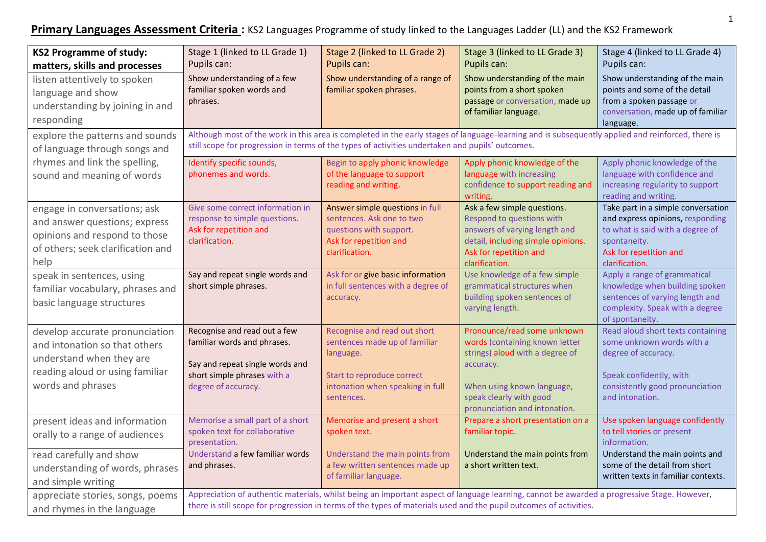**Primary Languages Assessment Criteria :** KS2 Languages Programme of study linked to the Languages Ladder (LL) and the KS2 Framework

| <b>KS2 Programme of study:</b><br>matters, skills and processes                                                                                     | Stage 1 (linked to LL Grade 1)<br>Pupils can:                                                                                                                                                                                                                     | Stage 2 (linked to LL Grade 2)<br>Pupils can:                                                                                                              | Stage 3 (linked to LL Grade 3)<br>Pupils can:                                                                                                                                                           | Stage 4 (linked to LL Grade 4)<br>Pupils can:                                                                                                                          |  |
|-----------------------------------------------------------------------------------------------------------------------------------------------------|-------------------------------------------------------------------------------------------------------------------------------------------------------------------------------------------------------------------------------------------------------------------|------------------------------------------------------------------------------------------------------------------------------------------------------------|---------------------------------------------------------------------------------------------------------------------------------------------------------------------------------------------------------|------------------------------------------------------------------------------------------------------------------------------------------------------------------------|--|
| listen attentively to spoken<br>language and show<br>understanding by joining in and<br>responding                                                  | Show understanding of a few<br>familiar spoken words and<br>phrases.                                                                                                                                                                                              | Show understanding of a range of<br>familiar spoken phrases.                                                                                               | Show understanding of the main<br>points from a short spoken<br>passage or conversation, made up<br>of familiar language.                                                                               | Show understanding of the main<br>points and some of the detail<br>from a spoken passage or<br>conversation, made up of familiar<br>language.                          |  |
| explore the patterns and sounds<br>of language through songs and                                                                                    | Although most of the work in this area is completed in the early stages of language-learning and is subsequently applied and reinforced, there is<br>still scope for progression in terms of the types of activities undertaken and pupils' outcomes.             |                                                                                                                                                            |                                                                                                                                                                                                         |                                                                                                                                                                        |  |
| rhymes and link the spelling,<br>sound and meaning of words                                                                                         | Identify specific sounds,<br>phonemes and words.                                                                                                                                                                                                                  | Begin to apply phonic knowledge<br>of the language to support<br>reading and writing.                                                                      | Apply phonic knowledge of the<br>language with increasing<br>confidence to support reading and<br>writing.                                                                                              | Apply phonic knowledge of the<br>language with confidence and<br>increasing regularity to support<br>reading and writing.                                              |  |
| engage in conversations; ask<br>and answer questions; express<br>opinions and respond to those<br>of others; seek clarification and<br>help         | Give some correct information in<br>response to simple questions.<br>Ask for repetition and<br>clarification.                                                                                                                                                     | Answer simple questions in full<br>sentences. Ask one to two<br>questions with support.<br>Ask for repetition and<br>clarification.                        | Ask a few simple questions.<br>Respond to questions with<br>answers of varying length and<br>detail, including simple opinions.<br>Ask for repetition and<br>clarification.                             | Take part in a simple conversation<br>and express opinions, responding<br>to what is said with a degree of<br>spontaneity.<br>Ask for repetition and<br>clarification. |  |
| speak in sentences, using<br>familiar vocabulary, phrases and<br>basic language structures                                                          | Say and repeat single words and<br>short simple phrases.                                                                                                                                                                                                          | Ask for or give basic information<br>in full sentences with a degree of<br>accuracy.                                                                       | Use knowledge of a few simple<br>grammatical structures when<br>building spoken sentences of<br>varying length.                                                                                         | Apply a range of grammatical<br>knowledge when building spoken<br>sentences of varying length and<br>complexity. Speak with a degree<br>of spontaneity.                |  |
| develop accurate pronunciation<br>and intonation so that others<br>understand when they are<br>reading aloud or using familiar<br>words and phrases | Recognise and read out a few<br>familiar words and phrases.<br>Say and repeat single words and<br>short simple phrases with a<br>degree of accuracy.                                                                                                              | Recognise and read out short<br>sentences made up of familiar<br>language.<br>Start to reproduce correct<br>intonation when speaking in full<br>sentences. | Pronounce/read some unknown<br>words (containing known letter<br>strings) aloud with a degree of<br>accuracy.<br>When using known language,<br>speak clearly with good<br>pronunciation and intonation. | Read aloud short texts containing<br>some unknown words with a<br>degree of accuracy.<br>Speak confidently, with<br>consistently good pronunciation<br>and intonation. |  |
| present ideas and information<br>orally to a range of audiences                                                                                     | Memorise a small part of a short<br>spoken text for collaborative<br>presentation.                                                                                                                                                                                | Memorise and present a short<br>spoken text.                                                                                                               | Prepare a short presentation on a<br>familiar topic.                                                                                                                                                    | Use spoken language confidently<br>to tell stories or present<br>information.                                                                                          |  |
| read carefully and show<br>understanding of words, phrases<br>and simple writing                                                                    | Understand a few familiar words<br>and phrases.                                                                                                                                                                                                                   | Understand the main points from<br>a few written sentences made up<br>of familiar language.                                                                | Understand the main points from<br>a short written text.                                                                                                                                                | Understand the main points and<br>some of the detail from short<br>written texts in familiar contexts.                                                                 |  |
| appreciate stories, songs, poems<br>and rhymes in the language                                                                                      | Appreciation of authentic materials, whilst being an important aspect of language learning, cannot be awarded a progressive Stage. However,<br>there is still scope for progression in terms of the types of materials used and the pupil outcomes of activities. |                                                                                                                                                            |                                                                                                                                                                                                         |                                                                                                                                                                        |  |